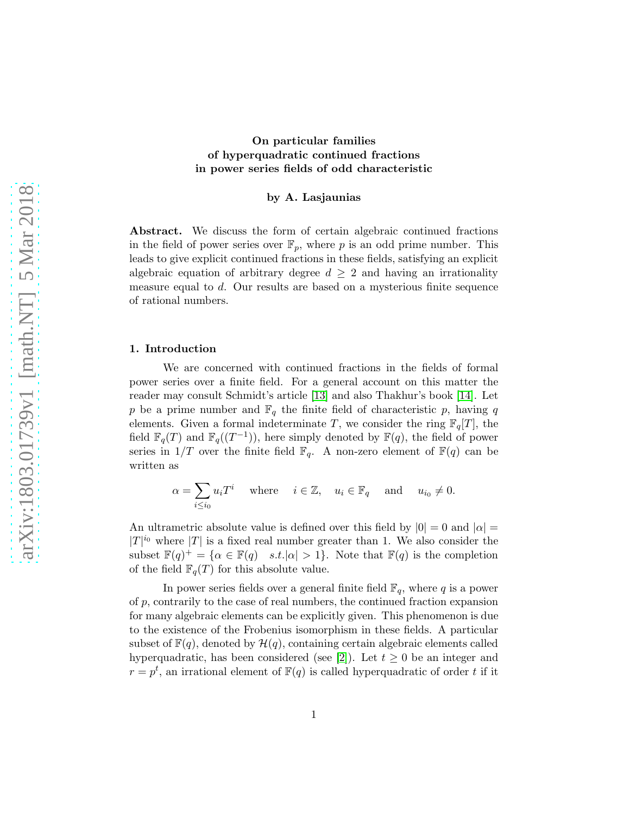## On particular families of hyperquadratic continued fractions in power series fields of odd characteristic

### by A. Lasjaunias

Abstract. We discuss the form of certain algebraic continued fractions in the field of power series over  $\mathbb{F}_p$ , where p is an odd prime number. This leads to give explicit continued fractions in these fields, satisfying an explicit algebraic equation of arbitrary degree  $d \geq 2$  and having an irrationality measure equal to d. Our results are based on a mysterious finite sequence of rational numbers.

#### 1. Introduction

We are concerned with continued fractions in the fields of formal power series over a finite field. For a general account on this matter the reader may consult Schmidt's article [\[13\]](#page-20-0) and also Thakhur's book [\[14\]](#page-20-1). Let p be a prime number and  $\mathbb{F}_q$  the finite field of characteristic p, having q elements. Given a formal indeterminate T, we consider the ring  $\mathbb{F}_q[T]$ , the field  $\mathbb{F}_q(T)$  and  $\mathbb{F}_q((T^{-1}))$ , here simply denoted by  $\mathbb{F}(q)$ , the field of power series in  $1/T$  over the finite field  $\mathbb{F}_q$ . A non-zero element of  $\mathbb{F}(q)$  can be written as

$$
\alpha = \sum_{i \le i_0} u_i T^i \quad \text{where} \quad i \in \mathbb{Z}, \quad u_i \in \mathbb{F}_q \quad \text{and} \quad u_{i_0} \ne 0.
$$

An ultrametric absolute value is defined over this field by  $|0| = 0$  and  $|\alpha| =$  $|T|^{i_0}$  where  $|T|$  is a fixed real number greater than 1. We also consider the subset  $\mathbb{F}(q)^+ = \{ \alpha \in \mathbb{F}(q) \mid s.t. |\alpha| > 1 \}.$  Note that  $\mathbb{F}(q)$  is the completion of the field  $\mathbb{F}_q(T)$  for this absolute value.

In power series fields over a general finite field  $\mathbb{F}_q$ , where q is a power of p, contrarily to the case of real numbers, the continued fraction expansion for many algebraic elements can be explicitly given. This phenomenon is due to the existence of the Frobenius isomorphism in these fields. A particular subset of  $\mathbb{F}(q)$ , denoted by  $\mathcal{H}(q)$ , containing certain algebraic elements called hyperquadratic, has been considered (see [\[2\]](#page-20-2)). Let  $t \geq 0$  be an integer and  $r = p<sup>t</sup>$ , an irrational element of  $\mathbb{F}(q)$  is called hyperquadratic of order t if it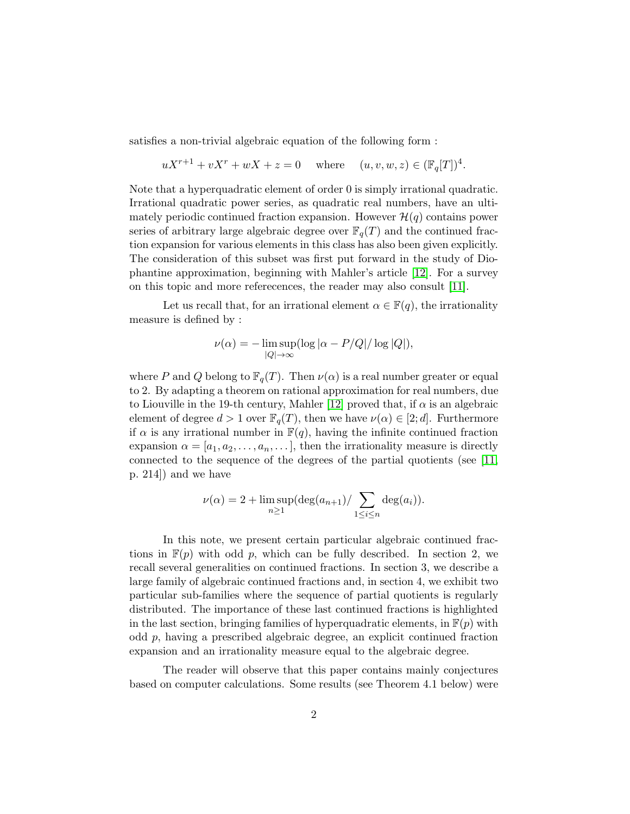satisfies a non-trivial algebraic equation of the following form :

$$
uX^{r+1} + vX^r + wX + z = 0 \quad \text{where} \quad (u, v, w, z) \in (\mathbb{F}_q[T])^4.
$$

Note that a hyperquadratic element of order 0 is simply irrational quadratic. Irrational quadratic power series, as quadratic real numbers, have an ultimately periodic continued fraction expansion. However  $\mathcal{H}(q)$  contains power series of arbitrary large algebraic degree over  $\mathbb{F}_q(T)$  and the continued fraction expansion for various elements in this class has also been given explicitly. The consideration of this subset was first put forward in the study of Diophantine approximation, beginning with Mahler's article [\[12\]](#page-20-3). For a survey on this topic and more referecences, the reader may also consult [\[11\]](#page-20-4).

Let us recall that, for an irrational element  $\alpha \in \mathbb{F}(q)$ , the irrationality measure is defined by :

$$
\nu(\alpha) = -\limsup_{|Q| \to \infty} (\log |\alpha - P/Q| / \log |Q|),
$$

where P and Q belong to  $\mathbb{F}_q(T)$ . Then  $\nu(\alpha)$  is a real number greater or equal to 2. By adapting a theorem on rational approximation for real numbers, due to Liouville in the 19-th century, Mahler [\[12\]](#page-20-3) proved that, if  $\alpha$  is an algebraic element of degree  $d > 1$  over  $\mathbb{F}_q(T)$ , then we have  $\nu(\alpha) \in [2;d]$ . Furthermore if  $\alpha$  is any irrational number in  $\mathbb{F}(q)$ , having the infinite continued fraction expansion  $\alpha = [a_1, a_2, \ldots, a_n, \ldots]$ , then the irrationality measure is directly connected to the sequence of the degrees of the partial quotients (see [\[11,](#page-20-4) p. 214]) and we have

$$
\nu(\alpha) = 2 + \limsup_{n \ge 1} (\deg(a_{n+1}) / \sum_{1 \le i \le n} \deg(a_i)).
$$

In this note, we present certain particular algebraic continued fractions in  $\mathbb{F}(p)$  with odd p, which can be fully described. In section 2, we recall several generalities on continued fractions. In section 3, we describe a large family of algebraic continued fractions and, in section 4, we exhibit two particular sub-families where the sequence of partial quotients is regularly distributed. The importance of these last continued fractions is highlighted in the last section, bringing families of hyperquadratic elements, in  $\mathbb{F}(p)$  with odd p, having a prescribed algebraic degree, an explicit continued fraction expansion and an irrationality measure equal to the algebraic degree.

The reader will observe that this paper contains mainly conjectures based on computer calculations. Some results (see Theorem 4.1 below) were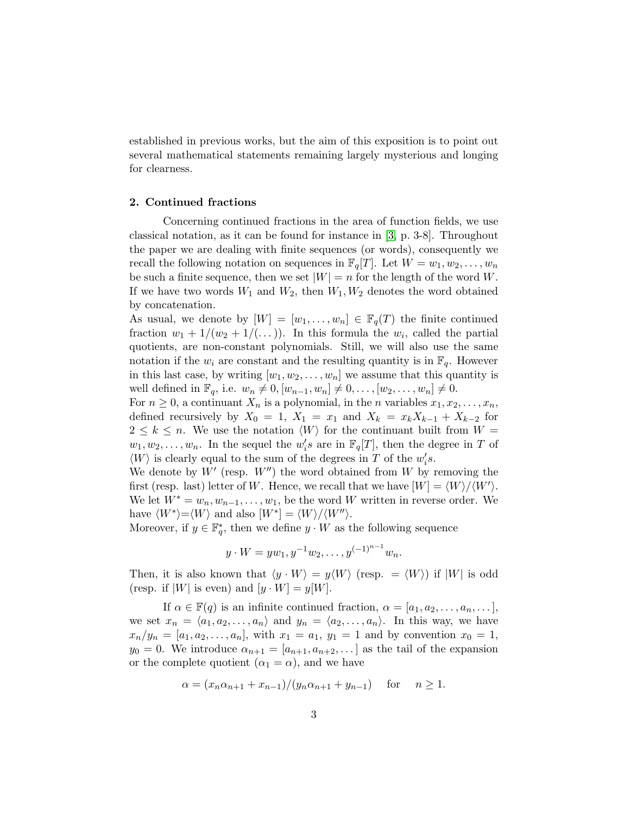established in previous works, but the aim of this exposition is to point out several mathematical statements remaining largely mysterious and longing for clearness.

#### 2. Continued fractions

Concerning continued fractions in the area of function fields, we use classical notation, as it can be found for instance in [\[3,](#page-20-5) p. 3-8]. Throughout the paper we are dealing with finite sequences (or words), consequently we recall the following notation on sequences in  $\mathbb{F}_q[T]$ . Let  $W = w_1, w_2, \ldots, w_n$ be such a finite sequence, then we set  $|W| = n$  for the length of the word W. If we have two words  $W_1$  and  $W_2$ , then  $W_1, W_2$  denotes the word obtained by concatenation.

As usual, we denote by  $[W] = [w_1, \ldots, w_n] \in \mathbb{F}_q(T)$  the finite continued fraction  $w_1 + 1/(w_2 + 1/(\dots))$ . In this formula the  $w_i$ , called the partial quotients, are non-constant polynomials. Still, we will also use the same notation if the  $w_i$  are constant and the resulting quantity is in  $\mathbb{F}_q$ . However in this last case, by writing  $[w_1, w_2, \ldots, w_n]$  we assume that this quantity is well defined in  $\mathbb{F}_q$ , i.e.  $w_n \neq 0$ ,  $[w_{n-1}, w_n] \neq 0, \ldots, [w_2, \ldots, w_n] \neq 0$ .

For  $n \geq 0$ , a continuant  $X_n$  is a polynomial, in the *n* variables  $x_1, x_2, \ldots, x_n$ , defined recursively by  $X_0 = 1$ ,  $X_1 = x_1$  and  $X_k = x_k X_{k-1} + X_{k-2}$  for  $2 \leq k \leq n$ . We use the notation  $\langle W \rangle$  for the continuant built from  $W =$  $w_1, w_2, \ldots, w_n$ . In the sequel the  $w_i$ 's are in  $\mathbb{F}_q[T]$ , then the degree in T of  $\langle W\rangle$  is clearly equal to the sum of the degrees in  $T$  of the  $w_i's.$ 

We denote by  $W'$  (resp.  $W'$ ) the word obtained from W by removing the first (resp. last) letter of W. Hence, we recall that we have  $|W| = \langle W \rangle / \langle W' \rangle$ . We let  $W^* = w_n, w_{n-1}, \ldots, w_1$ , be the word W written in reverse order. We have  $\langle W^* \rangle = \langle W \rangle$  and also  $[W^*] = \langle W \rangle / \langle W'' \rangle$ .

Moreover, if  $y \in \mathbb{F}_q^*$ , then we define  $y \cdot W$  as the following sequence

$$
y \cdot W = yw_1, y^{-1}w_2, \dots, y^{(-1)^{n-1}}w_n.
$$

Then, it is also known that  $\langle y \cdot W \rangle = y \langle W \rangle$  (resp.  $= \langle W \rangle$ ) if  $|W|$  is odd (resp. if  $|W|$  is even) and  $[y \cdot W] = y[W]$ .

If  $\alpha \in \mathbb{F}(q)$  is an infinite continued fraction,  $\alpha = [a_1, a_2, \ldots, a_n, \ldots]$ , we set  $x_n = \langle a_1, a_2, \ldots, a_n \rangle$  and  $y_n = \langle a_2, \ldots, a_n \rangle$ . In this way, we have  $x_n/y_n = [a_1, a_2, \ldots, a_n],$  with  $x_1 = a_1, y_1 = 1$  and by convention  $x_0 = 1,$  $y_0 = 0$ . We introduce  $\alpha_{n+1} = [a_{n+1}, a_{n+2}, \dots]$  as the tail of the expansion or the complete quotient  $(\alpha_1 = \alpha)$ , and we have

$$
\alpha = (x_n \alpha_{n+1} + x_{n-1})/(y_n \alpha_{n+1} + y_{n-1})
$$
 for  $n \ge 1$ .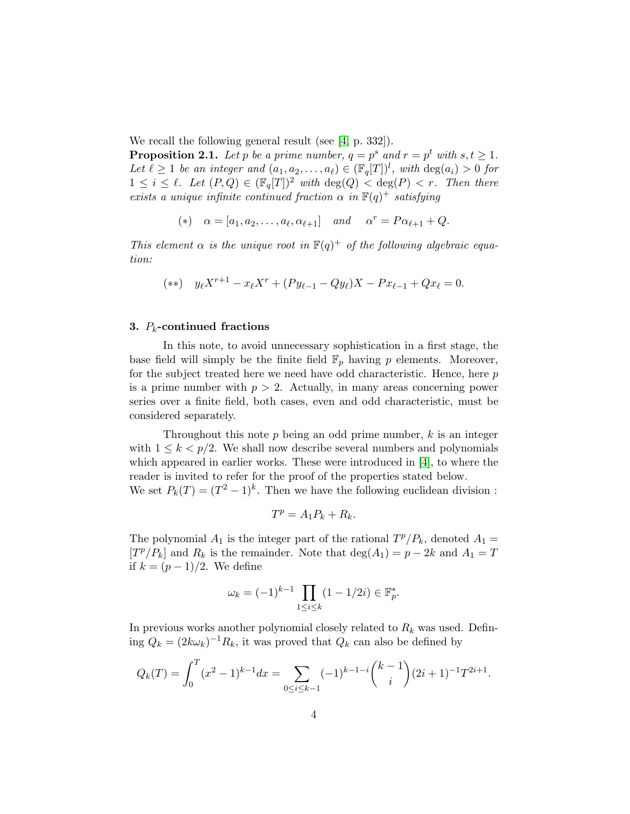We recall the following general result (see [\[4,](#page-20-6) p. 332]).

**Proposition 2.1.** Let p be a prime number,  $q = p^s$  and  $r = p^t$  with  $s, t \ge 1$ . Let  $\ell \geq 1$  be an integer and  $(a_1, a_2, \ldots, a_{\ell}) \in (\mathbb{F}_q[T])^l$ , with  $\deg(a_i) > 0$  for  $1 \leq i \leq \ell$ . Let  $(P,Q) \in (\mathbb{F}_q[T])^2$  with  $\deg(Q) < \deg(P) < r$ . Then there exists a unique infinite continued fraction  $\alpha$  in  $\mathbb{F}(q)^+$  satisfying

(\*) 
$$
\alpha = [a_1, a_2, \dots, a_\ell, \alpha_{\ell+1}]
$$
 and  $\alpha^r = P\alpha_{\ell+1} + Q$ .

This element  $\alpha$  is the unique root in  $\mathbb{F}(q)^+$  of the following algebraic equation:

$$
(**) \t y_{\ell} X^{r+1} - x_{\ell} X^r + (Py_{\ell-1} - Qy_{\ell}) X - Px_{\ell-1} + Qx_{\ell} = 0.
$$

### 3.  $P_k$ -continued fractions

In this note, to avoid unnecessary sophistication in a first stage, the base field will simply be the finite field  $\mathbb{F}_p$  having p elements. Moreover, for the subject treated here we need have odd characteristic. Hence, here p is a prime number with  $p > 2$ . Actually, in many areas concerning power series over a finite field, both cases, even and odd characteristic, must be considered separately.

Throughout this note  $p$  being an odd prime number,  $k$  is an integer with  $1 \leq k \leq p/2$ . We shall now describe several numbers and polynomials which appeared in earlier works. These were introduced in [\[4\]](#page-20-6), to where the reader is invited to refer for the proof of the properties stated below.

We set  $P_k(T) = (T^2 - 1)^k$ . Then we have the following euclidean division:

$$
T^p = A_1 P_k + R_k.
$$

The polynomial  $A_1$  is the integer part of the rational  $T^p/P_k$ , denoted  $A_1 =$  $[T^p/P_k]$  and  $R_k$  is the remainder. Note that  $\deg(A_1) = p - 2k$  and  $A_1 = T$ if  $k = (p-1)/2$ . We define

$$
\omega_k = (-1)^{k-1} \prod_{1 \le i \le k} (1 - 1/2i) \in \mathbb{F}_p^*.
$$

In previous works another polynomial closely related to  $R_k$  was used. Defining  $Q_k = (2k\omega_k)^{-1}R_k$ , it was proved that  $Q_k$  can also be defined by

$$
Q_k(T) = \int_0^T (x^2 - 1)^{k-1} dx = \sum_{0 \le i \le k-1} (-1)^{k-1-i} \binom{k-1}{i} (2i+1)^{-1} T^{2i+1}.
$$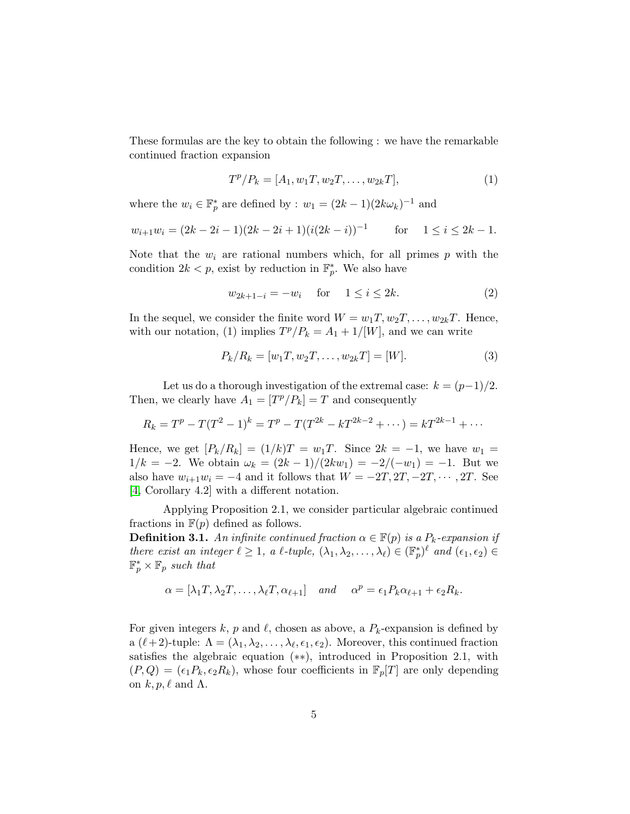These formulas are the key to obtain the following : we have the remarkable continued fraction expansion

$$
T^{p}/P_{k} = [A_{1}, w_{1}T, w_{2}T, \dots, w_{2k}T],
$$
\n(1)

where the  $w_i \in \mathbb{F}_p^*$  are defined by :  $w_1 = (2k-1)(2k\omega_k)^{-1}$  and

$$
w_{i+1}w_i = (2k - 2i - 1)(2k - 2i + 1)(i(2k - i))^{-1}
$$
 for  $1 \le i \le 2k - 1$ .

Note that the  $w_i$  are rational numbers which, for all primes p with the condition  $2k < p$ , exist by reduction in  $\mathbb{F}_p^*$ . We also have

$$
w_{2k+1-i} = -w_i \quad \text{for} \quad 1 \le i \le 2k. \tag{2}
$$

In the sequel, we consider the finite word  $W = w_1T, w_2T, \ldots, w_{2k}T$ . Hence, with our notation, (1) implies  $T^p/P_k = A_1 + 1/[W]$ , and we can write

$$
P_k/R_k = [w_1T, w_2T, \dots, w_{2k}T] = [W].
$$
\n(3)

Let us do a thorough investigation of the extremal case:  $k = (p-1)/2$ . Then, we clearly have  $A_1 = [T^p/P_k] = T$  and consequently

$$
R_k = T^p - T(T^2 - 1)^k = T^p - T(T^{2k} - kT^{2k-2} + \cdots) = kT^{2k-1} + \cdots
$$

Hence, we get  $[P_k/R_k] = (1/k)T = w_1T$ . Since  $2k = -1$ , we have  $w_1 =$  $1/k = -2$ . We obtain  $\omega_k = \frac{2k-1}{2kw_1} = \frac{-2}{-w_1} = -1$ . But we also have  $w_{i+1}w_i = -4$  and it follows that  $W = -2T, 2T, -2T, \cdots, 2T$ . See [\[4,](#page-20-6) Corollary 4.2] with a different notation.

Applying Proposition 2.1, we consider particular algebraic continued fractions in  $F(p)$  defined as follows.

**Definition 3.1.** An infinite continued fraction  $\alpha \in \mathbb{F}(p)$  is a  $P_k$ -expansion if there exist an integer  $\ell \geq 1$ , a  $\ell$ -tuple,  $(\lambda_1, \lambda_2, ..., \lambda_\ell) \in (\mathbb{F}_p^*)^\ell$  and  $(\epsilon_1, \epsilon_2) \in$  $\mathbb{F}_p^* \times \mathbb{F}_p$  such that

$$
\alpha = [\lambda_1 T, \lambda_2 T, \dots, \lambda_\ell T, \alpha_{\ell+1}] \quad and \quad \alpha^p = \epsilon_1 P_k \alpha_{\ell+1} + \epsilon_2 R_k.
$$

For given integers k, p and l, chosen as above, a  $P_k$ -expansion is defined by a  $(\ell+2)$ -tuple:  $\Lambda = (\lambda_1, \lambda_2, \ldots, \lambda_\ell, \epsilon_1, \epsilon_2)$ . Moreover, this continued fraction satisfies the algebraic equation (∗∗), introduced in Proposition 2.1, with  $(P,Q) = (\epsilon_1 P_k, \epsilon_2 R_k)$ , whose four coefficients in  $\mathbb{F}_p[T]$  are only depending on  $k, p, \ell$  and  $\Lambda$ .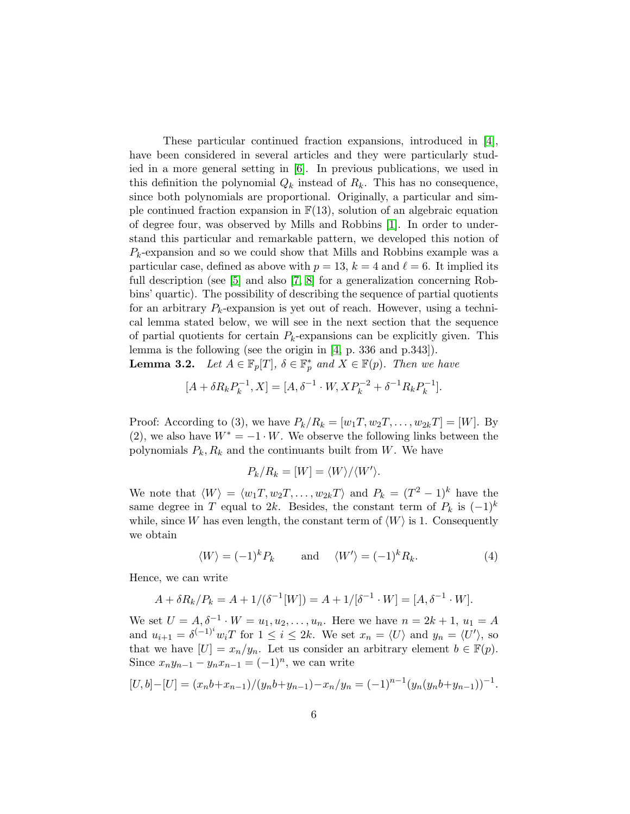These particular continued fraction expansions, introduced in [\[4\]](#page-20-6), have been considered in several articles and they were particularly studied in a more general setting in [\[6\]](#page-20-7). In previous publications, we used in this definition the polynomial  $Q_k$  instead of  $R_k$ . This has no consequence, since both polynomials are proportional. Originally, a particular and simple continued fraction expansion in  $F(13)$ , solution of an algebraic equation of degree four, was observed by Mills and Robbins [\[1\]](#page-19-0). In order to understand this particular and remarkable pattern, we developed this notion of  $P_k$ -expansion and so we could show that Mills and Robbins example was a particular case, defined as above with  $p = 13$ ,  $k = 4$  and  $\ell = 6$ . It implied its full description (see [\[5\]](#page-20-8) and also [\[7,](#page-20-9) [8\]](#page-20-10) for a generalization concerning Robbins' quartic). The possibility of describing the sequence of partial quotients for an arbitrary  $P_k$ -expansion is yet out of reach. However, using a technical lemma stated below, we will see in the next section that the sequence of partial quotients for certain  $P_k$ -expansions can be explicitly given. This lemma is the following (see the origin in [\[4,](#page-20-6) p. 336 and p.343]).

**Lemma 3.2.** Let  $A \in \mathbb{F}_p[T]$ ,  $\delta \in \mathbb{F}_p^*$  and  $X \in \mathbb{F}(p)$ . Then we have

$$
[A + \delta R_k P_k^{-1}, X] = [A, \delta^{-1} \cdot W, X P_k^{-2} + \delta^{-1} R_k P_k^{-1}].
$$

Proof: According to (3), we have  $P_k/R_k = [w_1T, w_2T, \ldots, w_{2k}T] = [W]$ . By (2), we also have  $W^* = -1 \cdot W$ . We observe the following links between the polynomials  $P_k, R_k$  and the continuants built from W. We have

$$
P_k/R_k = [W] = \langle W \rangle / \langle W' \rangle.
$$

We note that  $\langle W \rangle = \langle w_1 T, w_2 T, \dots, w_{2k} T \rangle$  and  $P_k = (T^2 - 1)^k$  have the same degree in T equal to 2k. Besides, the constant term of  $P_k$  is  $(-1)^k$ while, since W has even length, the constant term of  $\langle W \rangle$  is 1. Consequently we obtain

$$
\langle W \rangle = (-1)^k P_k \qquad \text{and} \quad \langle W' \rangle = (-1)^k R_k. \tag{4}
$$

Hence, we can write

$$
A + \delta R_k / P_k = A + 1/(\delta^{-1}[W]) = A + 1/[\delta^{-1} \cdot W] = [A, \delta^{-1} \cdot W].
$$

We set  $U = A, \delta^{-1} \cdot W = u_1, u_2, \dots, u_n$ . Here we have  $n = 2k + 1, u_1 = A$ and  $u_{i+1} = \delta^{(-1)^i} w_i T$  for  $1 \leq i \leq 2k$ . We set  $x_n = \langle U \rangle$  and  $y_n = \langle U' \rangle$ , so that we have  $[U] = x_n/y_n$ . Let us consider an arbitrary element  $b \in \mathbb{F}(p)$ . Since  $x_n y_{n-1} - y_n x_{n-1} = (-1)^n$ , we can write

$$
[U,b]-[U] = (x_n b + x_{n-1})/(y_n b + y_{n-1}) - x_n/y_n = (-1)^{n-1}(y_n (y_n b + y_{n-1}))^{-1}.
$$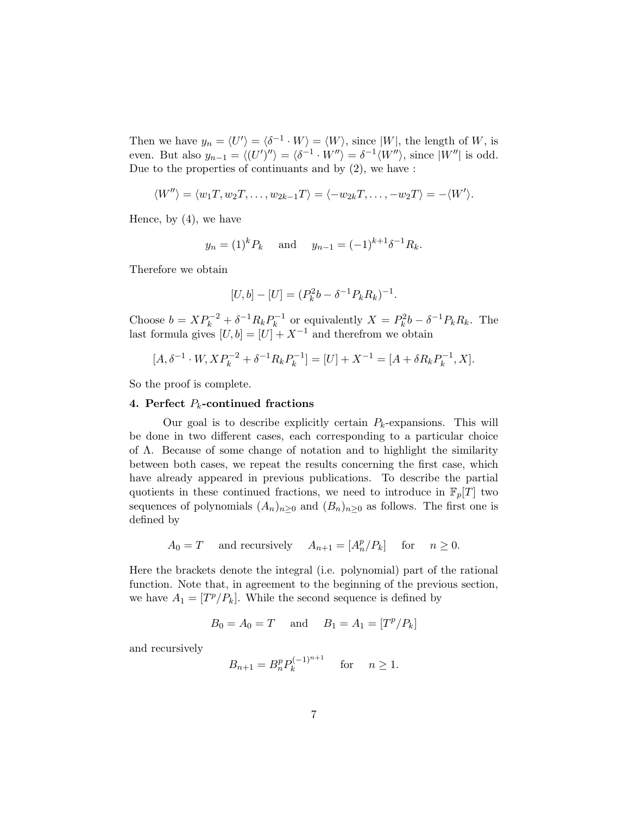Then we have  $y_n = \langle U' \rangle = \langle \delta^{-1} \cdot W \rangle = \langle W \rangle$ , since |W|, the length of W, is even. But also  $y_{n-1} = \langle (U')'' \rangle = \langle \delta^{-1} \cdot W'' \rangle = \delta^{-1} \langle W'' \rangle$ , since  $|W''|$  is odd. Due to the properties of continuants and by (2), we have :

$$
\langle W'' \rangle = \langle w_1 T, w_2 T, \dots, w_{2k-1} T \rangle = \langle -w_{2k} T, \dots, -w_2 T \rangle = -\langle W' \rangle.
$$

Hence, by (4), we have

$$
y_n = (1)^k P_k
$$
 and  $y_{n-1} = (-1)^{k+1} \delta^{-1} R_k$ .

Therefore we obtain

$$
[U, b] - [U] = (P_k^2 b - \delta^{-1} P_k R_k)^{-1}.
$$

Choose  $b = XP_k^{-2} + \delta^{-1}R_kP_k^{-1}$  $p_k^{-1}$  or equivalently  $X = P_k^2 b - \delta^{-1} P_k R_k$ . The last formula gives  $[U, b] = [U] + X^{-1}$  and therefrom we obtain

$$
[A, \delta^{-1} \cdot W, X P_k^{-2} + \delta^{-1} R_k P_k^{-1}] = [U] + X^{-1} = [A + \delta R_k P_k^{-1}, X].
$$

So the proof is complete.

#### 4. Perfect  $P_k$ -continued fractions

Our goal is to describe explicitly certain  $P_k$ -expansions. This will be done in two different cases, each corresponding to a particular choice of Λ. Because of some change of notation and to highlight the similarity between both cases, we repeat the results concerning the first case, which have already appeared in previous publications. To describe the partial quotients in these continued fractions, we need to introduce in  $\mathbb{F}_p[T]$  two sequences of polynomials  $(A_n)_{n\geq 0}$  and  $(B_n)_{n\geq 0}$  as follows. The first one is defined by

$$
A_0 = T
$$
 and recursively  $A_{n+1} = [A_n^p/P_k]$  for  $n \ge 0$ .

Here the brackets denote the integral (i.e. polynomial) part of the rational function. Note that, in agreement to the beginning of the previous section, we have  $A_1 = [T^p/P_k]$ . While the second sequence is defined by

$$
B_0 = A_0 = T
$$
 and  $B_1 = A_1 = [T^p/P_k]$ 

and recursively

$$
B_{n+1} = B_n^p P_k^{(-1)^{n+1}}
$$
 for  $n \ge 1$ .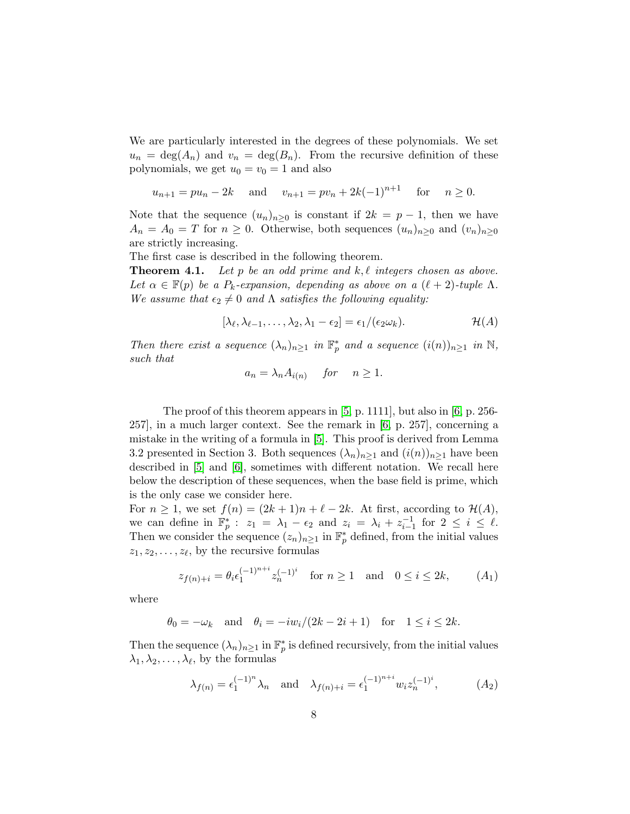We are particularly interested in the degrees of these polynomials. We set  $u_n = \deg(A_n)$  and  $v_n = \deg(B_n)$ . From the recursive definition of these polynomials, we get  $u_0 = v_0 = 1$  and also

$$
u_{n+1} = pu_n - 2k
$$
 and  $v_{n+1} = pv_n + 2k(-1)^{n+1}$  for  $n \ge 0$ .

Note that the sequence  $(u_n)_{n>0}$  is constant if  $2k = p - 1$ , then we have  $A_n = A_0 = T$  for  $n \geq 0$ . Otherwise, both sequences  $(u_n)_{n \geq 0}$  and  $(v_n)_{n \geq 0}$ are strictly increasing.

The first case is described in the following theorem.

**Theorem 4.1.** Let p be an odd prime and  $k, \ell$  integers chosen as above. Let  $\alpha \in \mathbb{F}(p)$  be a  $P_k$ -expansion, depending as above on a  $(\ell + 2)$ -tuple  $\Lambda$ . We assume that  $\epsilon_2 \neq 0$  and  $\Lambda$  satisfies the following equality:

$$
[\lambda_{\ell}, \lambda_{\ell-1}, \ldots, \lambda_2, \lambda_1 - \epsilon_2] = \epsilon_1/(\epsilon_2 \omega_k).
$$
 (A)

Then there exist a sequence  $(\lambda_n)_{n\geq 1}$  in  $\mathbb{F}_p^*$  and a sequence  $(i(n))_{n\geq 1}$  in  $\mathbb{N}$ , such that

$$
a_n = \lambda_n A_{i(n)} \quad \text{for} \quad n \ge 1.
$$

The proof of this theorem appears in [\[5,](#page-20-8) p. 1111], but also in [\[6,](#page-20-7) p. 256- 257], in a much larger context. See the remark in [\[6,](#page-20-7) p. 257], concerning a mistake in the writing of a formula in [\[5\]](#page-20-8). This proof is derived from Lemma 3.2 presented in Section 3. Both sequences  $(\lambda_n)_{n\geq 1}$  and  $(i(n))_{n\geq 1}$  have been described in [\[5\]](#page-20-8) and [\[6\]](#page-20-7), sometimes with different notation. We recall here below the description of these sequences, when the base field is prime, which is the only case we consider here.

For  $n \geq 1$ , we set  $f(n) = (2k+1)n + \ell - 2k$ . At first, according to  $\mathcal{H}(A)$ , we can define in  $\mathbb{F}_p^*$ :  $z_1 = \lambda_1 - \epsilon_2$  and  $z_i = \lambda_i + z_{i-1}^{-1}$  for  $2 \leq i \leq \ell$ . Then we consider the sequence  $(z_n)_{n\geq 1}$  in  $\mathbb{F}_p^*$  defined, from the initial values  $z_1, z_2, \ldots, z_{\ell}$ , by the recursive formulas

$$
z_{f(n)+i} = \theta_i \epsilon_1^{(-1)^{n+i}} z_n^{(-1)^i} \quad \text{for } n \ge 1 \quad \text{and} \quad 0 \le i \le 2k, \tag{A_1}
$$

where

$$
\theta_0 = -\omega_k
$$
 and  $\theta_i = -iw_i/(2k - 2i + 1)$  for  $1 \le i \le 2k$ .

Then the sequence  $(\lambda_n)_{n\geq 1}$  in  $\mathbb{F}_p^*$  is defined recursively, from the initial values  $\lambda_1, \lambda_2, \ldots, \lambda_\ell$ , by the formulas

$$
\lambda_{f(n)} = \epsilon_1^{(-1)^n} \lambda_n
$$
 and  $\lambda_{f(n)+i} = \epsilon_1^{(-1)^{n+i}} w_i z_n^{(-1)^i}$ , (A<sub>2</sub>)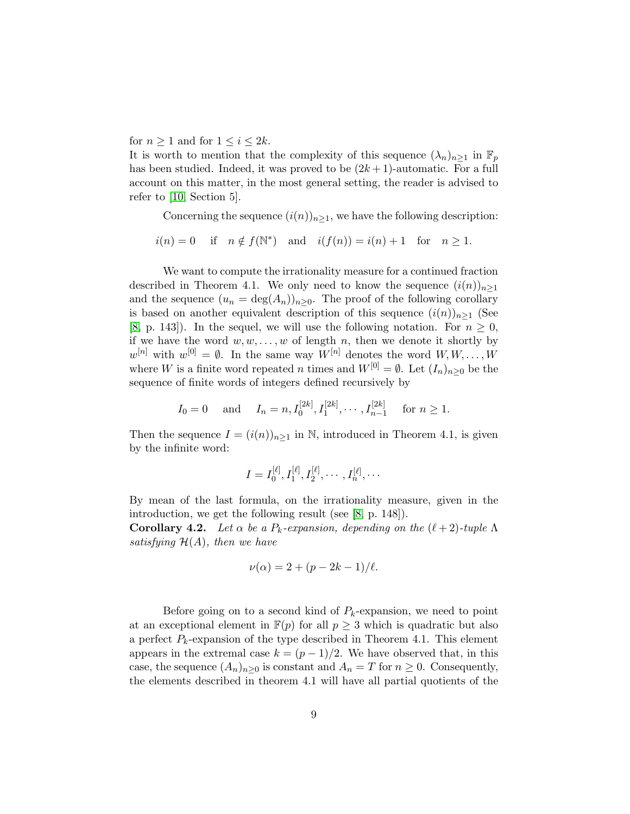for  $n \geq 1$  and for  $1 \leq i \leq 2k$ .

It is worth to mention that the complexity of this sequence  $(\lambda_n)_{n>1}$  in  $\mathbb{F}_p$ has been studied. Indeed, it was proved to be  $(2k+1)$ -automatic. For a full account on this matter, in the most general setting, the reader is advised to refer to [\[10,](#page-20-11) Section 5].

Concerning the sequence  $(i(n))_{n\geq 1}$ , we have the following description:

 $i(n) = 0$  if  $n \notin f(\mathbb{N}^*)$  and  $i(f(n)) = i(n) + 1$  for  $n \ge 1$ .

We want to compute the irrationality measure for a continued fraction described in Theorem 4.1. We only need to know the sequence  $(i(n))_{n\geq 1}$ and the sequence  $(u_n = \deg(A_n))_{n \geq 0}$ . The proof of the following corollary is based on another equivalent description of this sequence  $(i(n))_{n\geq 1}$  (See [\[8,](#page-20-10) p. 143]). In the sequel, we will use the following notation. For  $n \geq 0$ , if we have the word  $w, w, \ldots, w$  of length n, then we denote it shortly by  $w^{[n]}$  with  $w^{[0]} = \emptyset$ . In the same way  $W^{[n]}$  denotes the word  $W, W, \ldots, W$ where W is a finite word repeated n times and  $W^{[0]} = \emptyset$ . Let  $(I_n)_{n \geq 0}$  be the sequence of finite words of integers defined recursively by

$$
I_0 = 0
$$
 and  $I_n = n, I_0^{[2k]}, I_1^{[2k]}, \cdots, I_{n-1}^{[2k]}$  for  $n \ge 1$ .

Then the sequence  $I = (i(n))_{n \geq 1}$  in N, introduced in Theorem 4.1, is given by the infinite word:

$$
I = I_0^{[\ell]}, I_1^{[\ell]}, I_2^{[\ell]}, \cdots, I_n^{[\ell]}, \cdots
$$

By mean of the last formula, on the irrationality measure, given in the introduction, we get the following result (see [\[8,](#page-20-10) p. 148]).

Corollary 4.2. Let  $\alpha$  be a  $P_k$ -expansion, depending on the  $(\ell+2)$ -tuple  $\Lambda$ satisfying  $\mathcal{H}(A)$ , then we have

$$
\nu(\alpha) = 2 + (p - 2k - 1)/\ell.
$$

Before going on to a second kind of  $P_k$ -expansion, we need to point at an exceptional element in  $\mathbb{F}(p)$  for all  $p \geq 3$  which is quadratic but also a perfect  $P_k$ -expansion of the type described in Theorem 4.1. This element appears in the extremal case  $k = (p-1)/2$ . We have observed that, in this case, the sequence  $(A_n)_{n\geq 0}$  is constant and  $A_n = T$  for  $n \geq 0$ . Consequently, the elements described in theorem 4.1 will have all partial quotients of the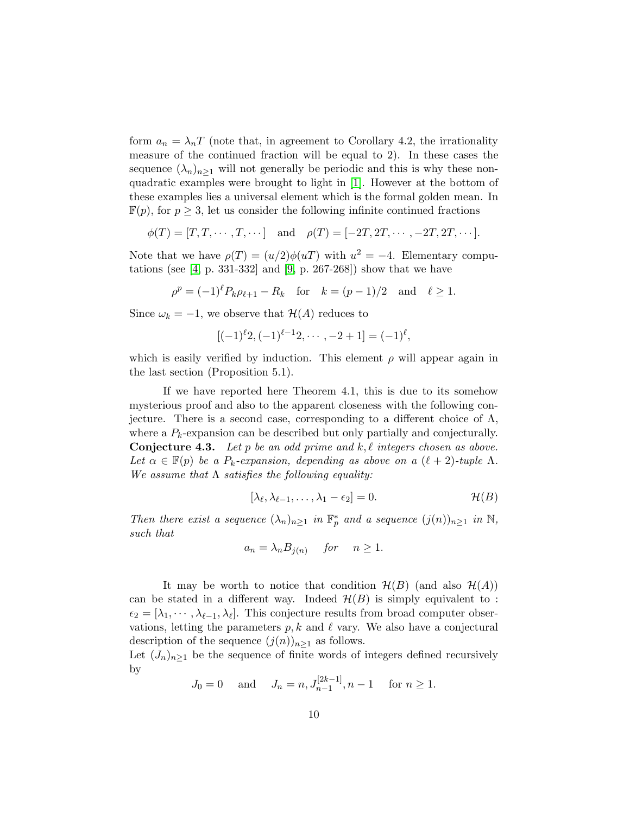form  $a_n = \lambda_n T$  (note that, in agreement to Corollary 4.2, the irrationality measure of the continued fraction will be equal to 2). In these cases the sequence  $(\lambda_n)_{n>1}$  will not generally be periodic and this is why these nonquadratic examples were brought to light in [\[1\]](#page-19-0). However at the bottom of these examples lies a universal element which is the formal golden mean. In  $\mathbb{F}(p)$ , for  $p \geq 3$ , let us consider the following infinite continued fractions

$$
\phi(T) = [T, T, \cdots, T, \cdots] \quad \text{and} \quad \rho(T) = [-2T, 2T, \cdots, -2T, 2T, \cdots].
$$

Note that we have  $\rho(T) = (u/2)\phi(uT)$  with  $u^2 = -4$ . Elementary computations (see  $[4, p. 331-332]$  and  $[9, p. 267-268]$ ) show that we have

$$
\rho^p = (-1)^{\ell} P_k \rho_{\ell+1} - R_k
$$
 for  $k = (p-1)/2$  and  $\ell \ge 1$ .

Since  $\omega_k = -1$ , we observe that  $\mathcal{H}(A)$  reduces to

$$
[(-1)^{\ell}2, (-1)^{\ell-1}2, \cdots, -2+1] = (-1)^{\ell},
$$

which is easily verified by induction. This element  $\rho$  will appear again in the last section (Proposition 5.1).

If we have reported here Theorem 4.1, this is due to its somehow mysterious proof and also to the apparent closeness with the following conjecture. There is a second case, corresponding to a different choice of  $\Lambda$ , where a  $P_k$ -expansion can be described but only partially and conjecturally. **Conjecture 4.3.** Let p be an odd prime and k,  $\ell$  integers chosen as above. Let  $\alpha \in \mathbb{F}(p)$  be a  $P_k$ -expansion, depending as above on a  $(\ell + 2)$ -tuple  $\Lambda$ . We assume that  $\Lambda$  satisfies the following equality:

$$
[\lambda_{\ell}, \lambda_{\ell-1}, \ldots, \lambda_1 - \epsilon_2] = 0. \qquad \mathcal{H}(B)
$$

Then there exist a sequence  $(\lambda_n)_{n\geq 1}$  in  $\mathbb{F}_p^*$  and a sequence  $(j(n))_{n\geq 1}$  in  $\mathbb{N}$ , such that

$$
a_n = \lambda_n B_{j(n)} \quad \text{for} \quad n \ge 1.
$$

It may be worth to notice that condition  $\mathcal{H}(B)$  (and also  $\mathcal{H}(A)$ ) can be stated in a different way. Indeed  $\mathcal{H}(B)$  is simply equivalent to :  $\epsilon_2 = [\lambda_1, \cdots, \lambda_{\ell-1}, \lambda_{\ell}]$ . This conjecture results from broad computer observations, letting the parameters  $p, k$  and  $\ell$  vary. We also have a conjectural description of the sequence  $(j(n))_{n\geq 1}$  as follows.

Let  $(J_n)_{n\geq 1}$  be the sequence of finite words of integers defined recursively by

$$
J_0 = 0
$$
 and  $J_n = n, J_{n-1}^{[2k-1]}, n-1$  for  $n \ge 1$ .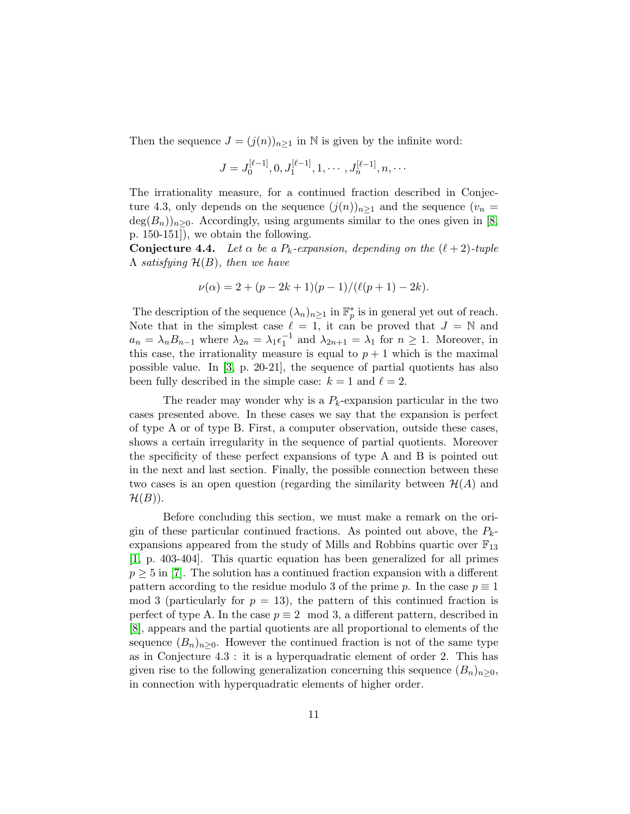Then the sequence  $J = (j(n))_{n>1}$  in N is given by the infinite word:

$$
J = J_0^{[\ell-1]}, 0, J_1^{[\ell-1]}, 1, \cdots, J_n^{[\ell-1]}, n, \cdots
$$

The irrationality measure, for a continued fraction described in Conjecture 4.3, only depends on the sequence  $(j(n))_{n\geq 1}$  and the sequence  $(v_n =$  $deg(B_n)_{n\geq 0}$ . Accordingly, using arguments similar to the ones given in [\[8,](#page-20-10) p. 150-151]), we obtain the following.

**Conjecture 4.4.** Let  $\alpha$  be a  $P_k$ -expansion, depending on the  $(\ell + 2)$ -tuple  $\Lambda$  satisfying  $\mathcal{H}(B)$ , then we have

$$
\nu(\alpha) = 2 + (p - 2k + 1)(p - 1)/(\ell(p + 1) - 2k).
$$

The description of the sequence  $(\lambda_n)_{n\geq 1}$  in  $\mathbb{F}_p^*$  is in general yet out of reach. Note that in the simplest case  $\ell = 1$ , it can be proved that  $J = \mathbb{N}$  and  $a_n = \lambda_n B_{n-1}$  where  $\lambda_{2n} = \lambda_1 \epsilon_1^{-1}$  and  $\lambda_{2n+1} = \lambda_1$  for  $n \ge 1$ . Moreover, in this case, the irrationality measure is equal to  $p + 1$  which is the maximal possible value. In [\[3,](#page-20-5) p. 20-21], the sequence of partial quotients has also been fully described in the simple case:  $k = 1$  and  $\ell = 2$ .

The reader may wonder why is a  $P_k$ -expansion particular in the two cases presented above. In these cases we say that the expansion is perfect of type A or of type B. First, a computer observation, outside these cases, shows a certain irregularity in the sequence of partial quotients. Moreover the specificity of these perfect expansions of type A and B is pointed out in the next and last section. Finally, the possible connection between these two cases is an open question (regarding the similarity between  $\mathcal{H}(A)$  and  $\mathcal{H}(B)$ ).

Before concluding this section, we must make a remark on the origin of these particular continued fractions. As pointed out above, the  $P_k$ expansions appeared from the study of Mills and Robbins quartic over  $\mathbb{F}_{13}$ [\[1,](#page-19-0) p. 403-404]. This quartic equation has been generalized for all primes  $p \geq 5$  in [\[7\]](#page-20-9). The solution has a continued fraction expansion with a different pattern according to the residue modulo 3 of the prime p. In the case  $p \equiv 1$ mod 3 (particularly for  $p = 13$ ), the pattern of this continued fraction is perfect of type A. In the case  $p \equiv 2 \mod 3$ , a different pattern, described in [\[8\]](#page-20-10), appears and the partial quotients are all proportional to elements of the sequence  $(B_n)_{n>0}$ . However the continued fraction is not of the same type as in Conjecture 4.3 : it is a hyperquadratic element of order 2. This has given rise to the following generalization concerning this sequence  $(B_n)_{n>0}$ , in connection with hyperquadratic elements of higher order.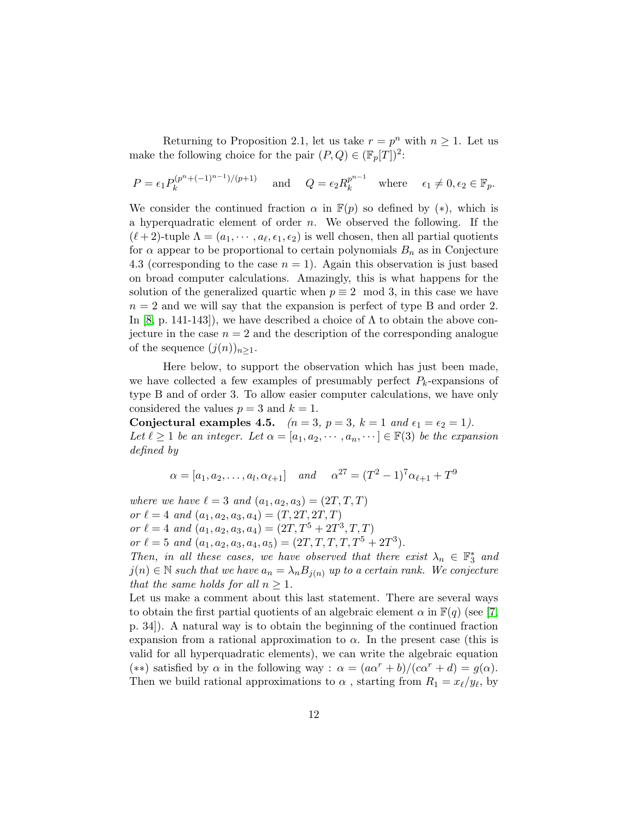Returning to Proposition 2.1, let us take  $r = p^n$  with  $n \geq 1$ . Let us make the following choice for the pair  $(P,Q) \in (\mathbb{F}_p[T])^2$ :

$$
P = \epsilon_1 P_k^{(p^n + (-1)^{n-1})/(p+1)} \quad \text{and} \quad Q = \epsilon_2 R_k^{p^{n-1}} \quad \text{where} \quad \epsilon_1 \neq 0, \epsilon_2 \in \mathbb{F}_p.
$$

We consider the continued fraction  $\alpha$  in  $\mathbb{F}(p)$  so defined by  $(*)$ , which is a hyperquadratic element of order  $n$ . We observed the following. If the  $(\ell+2)$ -tuple  $\Lambda = (a_1, \dots, a_\ell, \epsilon_1, \epsilon_2)$  is well chosen, then all partial quotients for  $\alpha$  appear to be proportional to certain polynomials  $B_n$  as in Conjecture 4.3 (corresponding to the case  $n = 1$ ). Again this observation is just based on broad computer calculations. Amazingly, this is what happens for the solution of the generalized quartic when  $p \equiv 2 \mod 3$ , in this case we have  $n = 2$  and we will say that the expansion is perfect of type B and order 2. In [\[8,](#page-20-10) p. 141-143]), we have described a choice of  $\Lambda$  to obtain the above conjecture in the case  $n = 2$  and the description of the corresponding analogue of the sequence  $(j(n))_{n\geq 1}$ .

Here below, to support the observation which has just been made, we have collected a few examples of presumably perfect  $P_k$ -expansions of type B and of order 3. To allow easier computer calculations, we have only considered the values  $p = 3$  and  $k = 1$ .

Conjectural examples 4.5.  $(n = 3, p = 3, k = 1 \text{ and } \epsilon_1 = \epsilon_2 = 1).$ Let  $\ell \geq 1$  be an integer. Let  $\alpha = [a_1, a_2, \cdots, a_n, \cdots] \in \mathbb{F}(3)$  be the expansion defined by

$$
\alpha = [a_1, a_2,..., a_l, \alpha_{l+1}]
$$
 and  $\alpha^{27} = (T^2 - 1)^7 \alpha_{l+1} + T^9$ 

where we have  $\ell = 3$  and  $(a_1, a_2, a_3) = (2T, T, T)$ or  $\ell = 4$  and  $(a_1, a_2, a_3, a_4) = (T, 2T, 2T, T)$ or  $\ell = 4$  and  $(a_1, a_2, a_3, a_4) = (2T, T^5 + 2T^3, T, T)$ or  $\ell = 5$  and  $(a_1, a_2, a_3, a_4, a_5) = (2T, T, T, T, T^5 + 2T^3)$ . Then, in all these cases, we have observed that there exist  $\lambda_n \in \mathbb{F}_3^*$  and  $j(n) \in \mathbb{N}$  such that we have  $a_n = \lambda_n B_{j(n)}$  up to a certain rank. We conjecture that the same holds for all  $n \geq 1$ . Let us make a comment about this last statement. There are several ways to obtain the first partial quotients of an algebraic element  $\alpha$  in  $\mathbb{F}(q)$  (see [\[7,](#page-20-9)

p. 34]). A natural way is to obtain the beginning of the continued fraction expansion from a rational approximation to  $\alpha$ . In the present case (this is valid for all hyperquadratic elements), we can write the algebraic equation (\*\*) satisfied by  $\alpha$  in the following way :  $\alpha = (a\alpha^r + b)/(c\alpha^r + d) = g(\alpha)$ . Then we build rational approximations to  $\alpha$ , starting from  $R_1 = x_\ell/y_\ell$ , by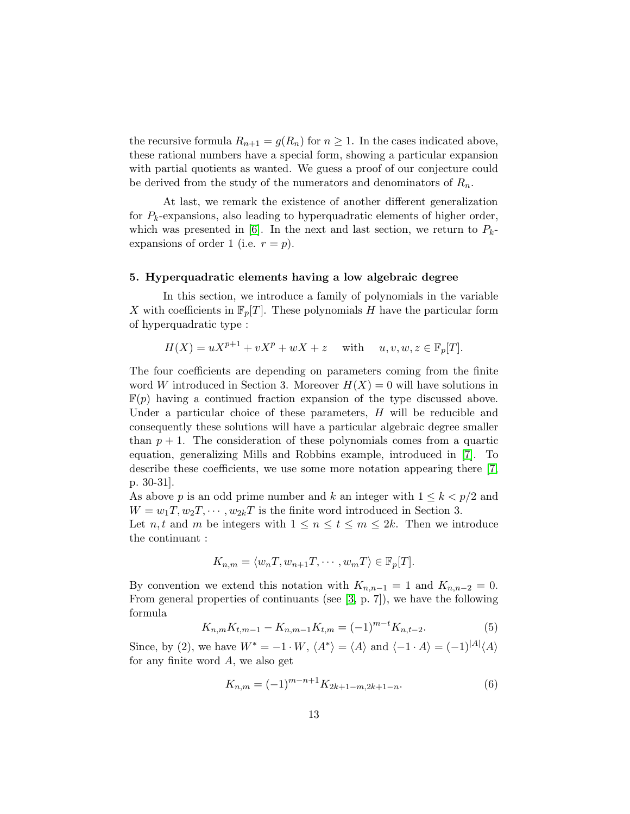the recursive formula  $R_{n+1} = g(R_n)$  for  $n \geq 1$ . In the cases indicated above, these rational numbers have a special form, showing a particular expansion with partial quotients as wanted. We guess a proof of our conjecture could be derived from the study of the numerators and denominators of  $R_n$ .

At last, we remark the existence of another different generalization for  $P_k$ -expansions, also leading to hyperquadratic elements of higher order, which was presented in [\[6\]](#page-20-7). In the next and last section, we return to  $P_k$ expansions of order 1 (i.e.  $r = p$ ).

### 5. Hyperquadratic elements having a low algebraic degree

In this section, we introduce a family of polynomials in the variable X with coefficients in  $\mathbb{F}_p[T]$ . These polynomials H have the particular form of hyperquadratic type :

$$
H(X) = uX^{p+1} + vX^p + wX + z \quad \text{with} \quad u, v, w, z \in \mathbb{F}_p[T].
$$

The four coefficients are depending on parameters coming from the finite word W introduced in Section 3. Moreover  $H(X) = 0$  will have solutions in  $\mathbb{F}(p)$  having a continued fraction expansion of the type discussed above. Under a particular choice of these parameters,  $H$  will be reducible and consequently these solutions will have a particular algebraic degree smaller than  $p + 1$ . The consideration of these polynomials comes from a quartic equation, generalizing Mills and Robbins example, introduced in [\[7\]](#page-20-9). To describe these coefficients, we use some more notation appearing there [\[7,](#page-20-9) p. 30-31].

As above p is an odd prime number and k an integer with  $1 \leq k < p/2$  and  $W = w_1 T, w_2 T, \cdots, w_{2k} T$  is the finite word introduced in Section 3.

Let *n*, *t* and *m* be integers with  $1 \le n \le t \le m \le 2k$ . Then we introduce the continuant :

$$
K_{n,m} = \langle w_n T, w_{n+1} T, \cdots, w_m T \rangle \in \mathbb{F}_p[T].
$$

By convention we extend this notation with  $K_{n,n-1} = 1$  and  $K_{n,n-2} = 0$ . From general properties of continuants (see [\[3,](#page-20-5) p. 7]), we have the following formula

$$
K_{n,m}K_{t,m-1} - K_{n,m-1}K_{t,m} = (-1)^{m-t}K_{n,t-2}.
$$
 (5)

Since, by (2), we have  $W^* = -1 \cdot W$ ,  $\langle A^* \rangle = \langle A \rangle$  and  $\langle -1 \cdot A \rangle = (-1)^{|A|} \langle A \rangle$ for any finite word  $A$ , we also get

$$
K_{n,m} = (-1)^{m-n+1} K_{2k+1-m,2k+1-n}.
$$
 (6)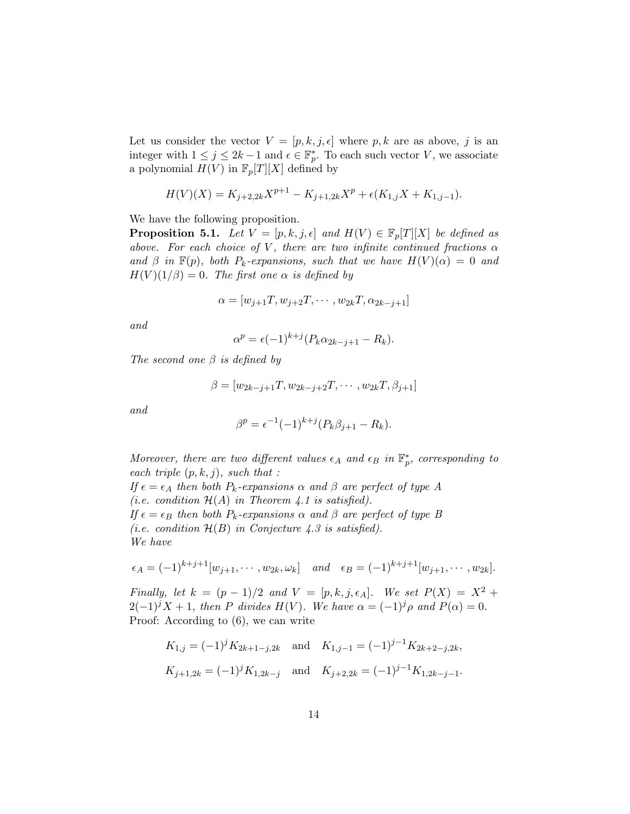Let us consider the vector  $V = [p, k, j, \epsilon]$  where p, k are as above, j is an integer with  $1 \leq j \leq 2k-1$  and  $\epsilon \in \mathbb{F}_p^*$ . To each such vector V, we associate a polynomial  $H(V)$  in  $\mathbb{F}_p[T][X]$  defined by

$$
H(V)(X) = K_{j+2,2k}X^{p+1} - K_{j+1,2k}X^p + \epsilon(K_{1,j}X + K_{1,j-1}).
$$

We have the following proposition.

**Proposition 5.1.** Let  $V = [p, k, j, \epsilon]$  and  $H(V) \in \mathbb{F}_p[T][X]$  be defined as above. For each choice of V, there are two infinite continued fractions  $\alpha$ and  $\beta$  in  $\mathbb{F}(p)$ , both  $P_k$ -expansions, such that we have  $H(V)(\alpha) = 0$  and  $H(V)(1/\beta) = 0$ . The first one  $\alpha$  is defined by

$$
\alpha = [w_{j+1}T, w_{j+2}T, \cdots, w_{2k}T, \alpha_{2k-j+1}]
$$

and

$$
\alpha^p = \epsilon (-1)^{k+j} (P_k \alpha_{2k-j+1} - R_k).
$$

The second one  $\beta$  is defined by

$$
\beta = [w_{2k-j+1}T, w_{2k-j+2}T, \cdots, w_{2k}T, \beta_{j+1}]
$$

and

$$
\beta^{p} = \epsilon^{-1}(-1)^{k+j}(P_{k}\beta_{j+1} - R_{k}).
$$

Moreover, there are two different values  $\epsilon_A$  and  $\epsilon_B$  in  $\mathbb{F}_p^*$ , corresponding to each triple  $(p, k, j)$ , such that :

If  $\epsilon = \epsilon_A$  then both  $P_k$ -expansions  $\alpha$  and  $\beta$  are perfect of type A (i.e. condition  $\mathcal{H}(A)$  in Theorem 4.1 is satisfied). If  $\epsilon = \epsilon_B$  then both  $P_k$ -expansions  $\alpha$  and  $\beta$  are perfect of type B (i.e. condition  $\mathcal{H}(B)$  in Conjecture 4.3 is satisfied). We have

$$
\epsilon_A = (-1)^{k+j+1} [w_{j+1}, \cdots, w_{2k}, \omega_k]
$$
 and  $\epsilon_B = (-1)^{k+j+1} [w_{j+1}, \cdots, w_{2k}].$ 

Finally, let  $k = (p - 1)/2$  and  $V = [p, k, j, \epsilon_A]$ . We set  $P(X) = X^2 +$  $2(-1)^j X + 1$ , then P divides  $H(V)$ . We have  $\alpha = (-1)^j \rho$  and  $P(\alpha) = 0$ . Proof: According to (6), we can write

$$
K_{1,j} = (-1)^j K_{2k+1-j,2k}
$$
 and  $K_{1,j-1} = (-1)^{j-1} K_{2k+2-j,2k}$ ,  
\n $K_{j+1,2k} = (-1)^j K_{1,2k-j}$  and  $K_{j+2,2k} = (-1)^{j-1} K_{1,2k-j-1}$ .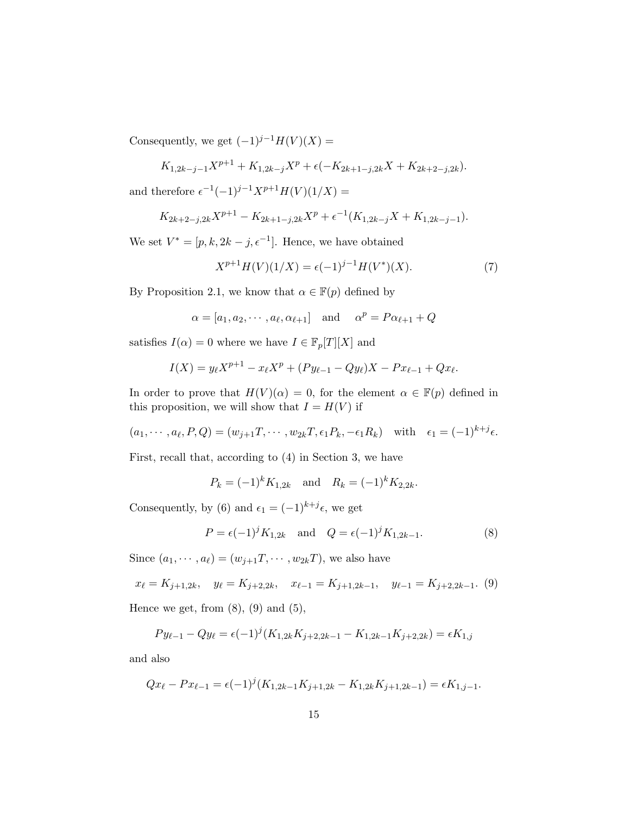Consequently, we get  $(-1)^{j-1}H(V)(X) =$ 

$$
K_{1,2k-j-1}X^{p+1} + K_{1,2k-j}X^p + \epsilon(-K_{2k+1-j,2k}X + K_{2k+2-j,2k}).
$$

and therefore  $\epsilon^{-1}(-1)^{j-1}X^{p+1}H(V)(1/X) =$ 

$$
K_{2k+2-j,2k}X^{p+1} - K_{2k+1-j,2k}X^p + \epsilon^{-1}(K_{1,2k-j}X + K_{1,2k-j-1}).
$$

We set  $V^* = [p, k, 2k - j, \epsilon^{-1}]$ . Hence, we have obtained

$$
X^{p+1}H(V)(1/X) = \epsilon(-1)^{j-1}H(V^*)(X). \tag{7}
$$

By Proposition 2.1, we know that  $\alpha \in \mathbb{F}(p)$  defined by

$$
\alpha = [a_1, a_2, \cdots, a_\ell, \alpha_{\ell+1}]
$$
 and  $\alpha^p = P\alpha_{\ell+1} + Q$ 

satisfies  $I(\alpha) = 0$  where we have  $I \in \mathbb{F}_p[T][X]$  and

$$
I(X) = y_{\ell} X^{p+1} - x_{\ell} X^p + (Py_{\ell-1} - Qy_{\ell}) X - Px_{\ell-1} + Qx_{\ell}.
$$

In order to prove that  $H(V)(\alpha) = 0$ , for the element  $\alpha \in \mathbb{F}(p)$  defined in this proposition, we will show that  $I = H(V)$  if

$$
(a_1,\cdots,a_\ell,P,Q)=(w_{j+1}T,\cdots,w_{2k}T,\epsilon_1P_k,-\epsilon_1R_k) \text{ with } \epsilon_1=(-1)^{k+j}\epsilon.
$$

First, recall that, according to (4) in Section 3, we have

 $P_k = (-1)^k K_{1,2k}$  and  $R_k = (-1)^k K_{2,2k}$ .

Consequently, by (6) and  $\epsilon_1 = (-1)^{k+j} \epsilon$ , we get

$$
P = \epsilon (-1)^{j} K_{1,2k} \text{ and } Q = \epsilon (-1)^{j} K_{1,2k-1}.
$$
 (8)

Since  $(a_1, \dots, a_\ell) = (w_{j+1}T, \dots, w_{2k}T)$ , we also have

$$
x_{\ell} = K_{j+1,2k}, \quad y_{\ell} = K_{j+2,2k}, \quad x_{\ell-1} = K_{j+1,2k-1}, \quad y_{\ell-1} = K_{j+2,2k-1}.
$$
 (9)

Hence we get, from  $(8)$ ,  $(9)$  and  $(5)$ ,

$$
Py_{\ell-1} - Qy_{\ell} = \epsilon (-1)^{j} (K_{1,2k} K_{j+2,2k-1} - K_{1,2k-1} K_{j+2,2k}) = \epsilon K_{1,j}
$$

and also

$$
Qx_{\ell} - Px_{\ell-1} = \epsilon(-1)^{j}(K_{1,2k-1}K_{j+1,2k} - K_{1,2k}K_{j+1,2k-1}) = \epsilon K_{1,j-1}.
$$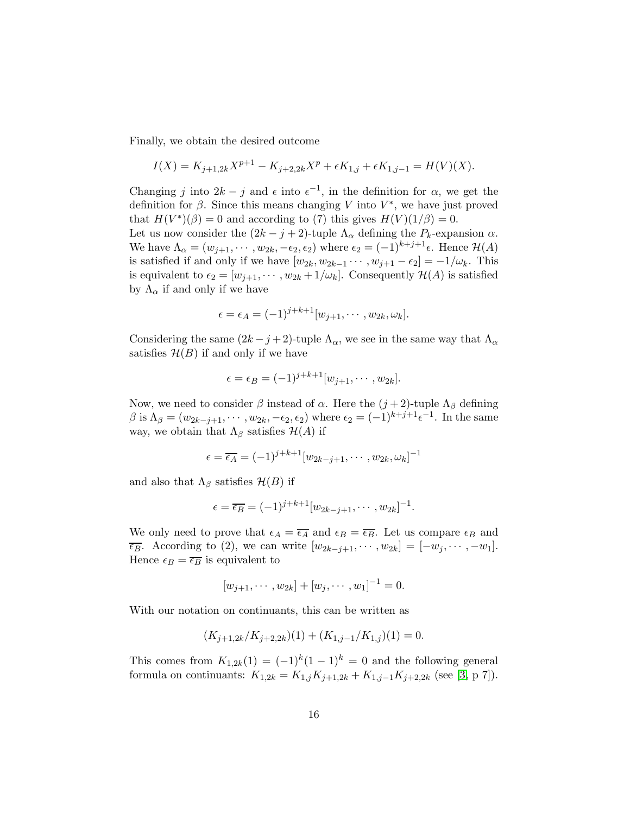Finally, we obtain the desired outcome

$$
I(X) = K_{j+1,2k}X^{p+1} - K_{j+2,2k}X^p + \epsilon K_{1,j} + \epsilon K_{1,j-1} = H(V)(X).
$$

Changing j into  $2k - j$  and  $\epsilon$  into  $\epsilon^{-1}$ , in the definition for  $\alpha$ , we get the definition for  $\beta$ . Since this means changing V into  $V^*$ , we have just proved that  $H(V^*)(\beta) = 0$  and according to (7) this gives  $H(V)(1/\beta) = 0$ .

Let us now consider the  $(2k - j + 2)$ -tuple  $\Lambda_{\alpha}$  defining the  $P_k$ -expansion  $\alpha$ . We have  $\Lambda_{\alpha} = (w_{j+1}, \cdots, w_{2k}, -\epsilon_2, \epsilon_2)$  where  $\epsilon_2 = (-1)^{k+j+1} \epsilon$ . Hence  $\mathcal{H}(A)$ is satisfied if and only if we have  $[w_{2k}, w_{2k-1} \cdots, w_{j+1} - \epsilon_2] = -1/\omega_k$ . This is equivalent to  $\epsilon_2 = [w_{j+1}, \cdots, w_{2k} + 1/\omega_k]$ . Consequently  $\mathcal{H}(A)$  is satisfied by  $\Lambda_{\alpha}$  if and only if we have

$$
\epsilon = \epsilon_A = (-1)^{j+k+1} [w_{j+1}, \cdots, w_{2k}, \omega_k].
$$

Considering the same  $(2k - j + 2)$ -tuple  $\Lambda_{\alpha}$ , we see in the same way that  $\Lambda_{\alpha}$ satisfies  $\mathcal{H}(B)$  if and only if we have

$$
\epsilon = \epsilon_B = (-1)^{j+k+1} [w_{j+1}, \cdots, w_{2k}].
$$

Now, we need to consider  $\beta$  instead of  $\alpha$ . Here the  $(j+2)$ -tuple  $\Lambda_{\beta}$  defining  $\beta$  is  $\Lambda_{\beta} = (w_{2k-j+1}, \cdots, w_{2k}, -\epsilon_2, \epsilon_2)$  where  $\epsilon_2 = (-1)^{k+j+1} \epsilon^{-1}$ . In the same way, we obtain that  $\Lambda_{\beta}$  satisfies  $\mathcal{H}(A)$  if

$$
\epsilon = \overline{\epsilon_A} = (-1)^{j+k+1} [w_{2k-j+1}, \cdots, w_{2k}, \omega_k]^{-1}
$$

and also that  $\Lambda_{\beta}$  satisfies  $\mathcal{H}(B)$  if

$$
\epsilon = \overline{\epsilon_B} = (-1)^{j+k+1} [w_{2k-j+1}, \cdots, w_{2k}]^{-1}.
$$

We only need to prove that  $\epsilon_A = \overline{\epsilon_A}$  and  $\epsilon_B = \overline{\epsilon_B}$ . Let us compare  $\epsilon_B$  and  $\overline{\epsilon_B}$ . According to (2), we can write  $[w_{2k-j+1}, \cdots, w_{2k}] = [-w_j, \cdots, -w_1].$ Hence  $\epsilon_B = \overline{\epsilon_B}$  is equivalent to

$$
[w_{j+1},\cdots,w_{2k}]+[w_j,\cdots,w_1]^{-1}=0.
$$

With our notation on continuants, this can be written as

$$
(K_{j+1,2k}/K_{j+2,2k})(1) + (K_{1,j-1}/K_{1,j})(1) = 0.
$$

This comes from  $K_{1,2k}(1) = (-1)^k (1-1)^k = 0$  and the following general formula on continuants:  $K_{1,2k} = K_{1,j}K_{j+1,2k} + K_{1,j-1}K_{j+2,2k}$  (see [\[3,](#page-20-5) p 7]).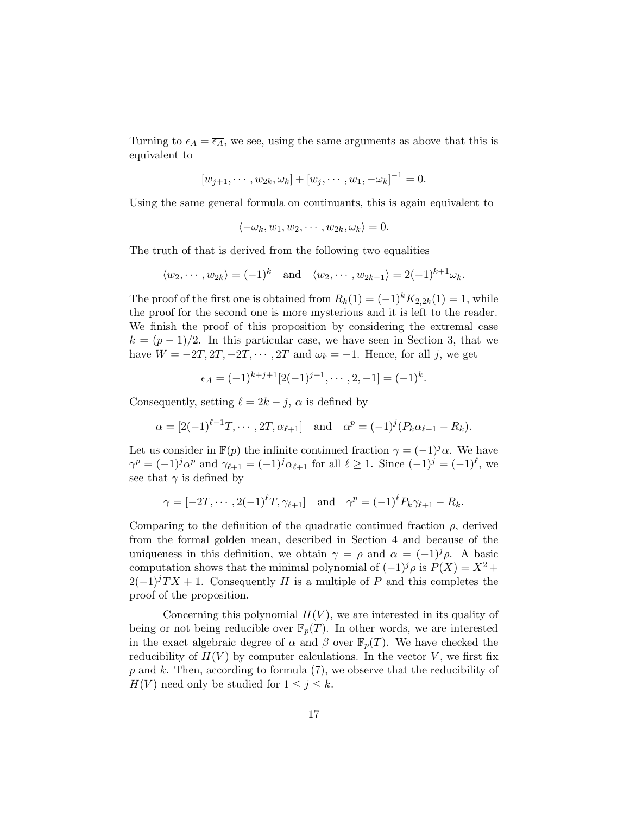Turning to  $\epsilon_A = \overline{\epsilon_A}$ , we see, using the same arguments as above that this is equivalent to

$$
[w_{j+1},\cdots,w_{2k},\omega_k]+[w_j,\cdots,w_1,-\omega_k]^{-1}=0.
$$

Using the same general formula on continuants, this is again equivalent to

$$
\langle -\omega_k, w_1, w_2, \cdots, w_{2k}, \omega_k \rangle = 0.
$$

The truth of that is derived from the following two equalities

$$
\langle w_2, \cdots, w_{2k} \rangle = (-1)^k
$$
 and  $\langle w_2, \cdots, w_{2k-1} \rangle = 2(-1)^{k+1} \omega_k$ .

The proof of the first one is obtained from  $R_k(1) = (-1)^k K_{2,2k}(1) = 1$ , while the proof for the second one is more mysterious and it is left to the reader. We finish the proof of this proposition by considering the extremal case  $k = (p-1)/2$ . In this particular case, we have seen in Section 3, that we have  $W = -2T, 2T, -2T, \cdots, 2T$  and  $\omega_k = -1$ . Hence, for all j, we get

$$
\epsilon_A = (-1)^{k+j+1} [2(-1)^{j+1}, \cdots, 2, -1] = (-1)^k.
$$

Consequently, setting  $\ell = 2k - j$ ,  $\alpha$  is defined by

$$
\alpha = [2(-1)^{\ell-1}T, \cdots, 2T, \alpha_{\ell+1}]
$$
 and  $\alpha^p = (-1)^j (P_k \alpha_{\ell+1} - R_k).$ 

Let us consider in  $\mathbb{F}(p)$  the infinite continued fraction  $\gamma = (-1)^j \alpha$ . We have  $\gamma^p = (-1)^j \alpha^p$  and  $\gamma_{\ell+1} = (-1)^j \alpha_{\ell+1}$  for all  $\ell \geq 1$ . Since  $(-1)^j = (-1)^{\ell}$ , we see that  $\gamma$  is defined by

$$
\gamma = [-2T, \cdots, 2(-1)^{\ell}T, \gamma_{\ell+1}]
$$
 and  $\gamma^{p} = (-1)^{\ell}P_{k}\gamma_{\ell+1} - R_{k}$ .

Comparing to the definition of the quadratic continued fraction  $\rho$ , derived from the formal golden mean, described in Section 4 and because of the uniqueness in this definition, we obtain  $\gamma = \rho$  and  $\alpha = (-1)^j \rho$ . A basic computation shows that the minimal polynomial of  $(-1)^{j} \rho$  is  $P(X) = X^{2} +$  $2(-1)^{j}TX + 1$ . Consequently H is a multiple of P and this completes the proof of the proposition.

Concerning this polynomial  $H(V)$ , we are interested in its quality of being or not being reducible over  $\mathbb{F}_p(T)$ . In other words, we are interested in the exact algebraic degree of  $\alpha$  and  $\beta$  over  $\mathbb{F}_p(T)$ . We have checked the reducibility of  $H(V)$  by computer calculations. In the vector V, we first fix  $p$  and k. Then, according to formula (7), we observe that the reducibility of  $H(V)$  need only be studied for  $1 \leq j \leq k$ .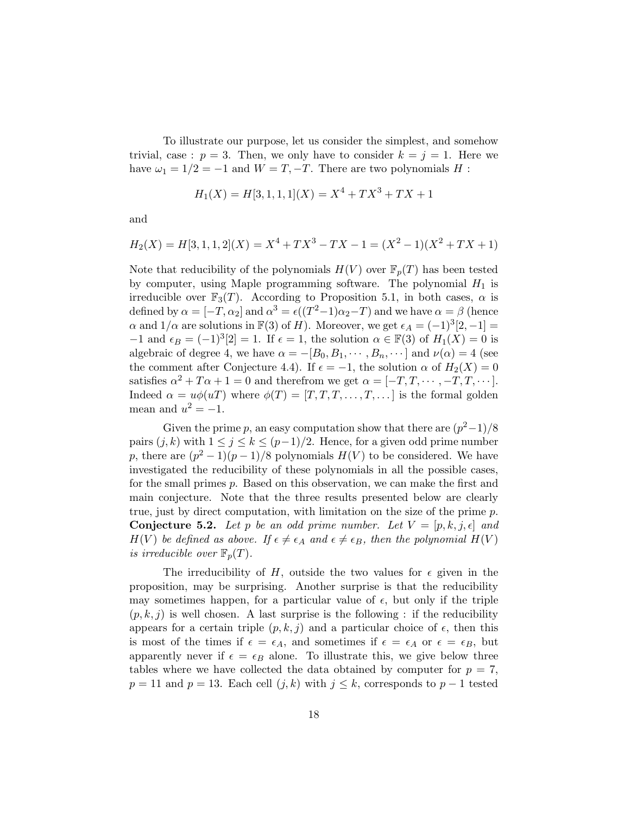To illustrate our purpose, let us consider the simplest, and somehow trivial, case :  $p = 3$ . Then, we only have to consider  $k = j = 1$ . Here we have  $\omega_1 = 1/2 = -1$  and  $W = T, -T$ . There are two polynomials H :

$$
H_1(X) = H[3, 1, 1, 1](X) = X^4 + TX^3 + TX + 1
$$

and

$$
H_2(X) = H[3, 1, 1, 2](X) = X^4 + TX^3 - TX - 1 = (X^2 - 1)(X^2 + TX + 1)
$$

Note that reducibility of the polynomials  $H(V)$  over  $\mathbb{F}_p(T)$  has been tested by computer, using Maple programming software. The polynomial  $H_1$  is irreducible over  $\mathbb{F}_3(T)$ . According to Proposition 5.1, in both cases,  $\alpha$  is defined by  $\alpha = [-T, \alpha_2]$  and  $\alpha^3 = \epsilon((T^2-1)\alpha_2-T)$  and we have  $\alpha = \beta$  (hence  $\alpha$  and  $1/\alpha$  are solutions in  $\mathbb{F}(3)$  of H). Moreover, we get  $\epsilon_A = (-1)^3[2,-1] =$  $-1$  and  $\epsilon_B = (-1)^3[2] = 1$ . If  $\epsilon = 1$ , the solution  $\alpha \in \mathbb{F}(3)$  of  $H_1(X) = 0$  is algebraic of degree 4, we have  $\alpha = -[B_0, B_1, \cdots, B_n, \cdots]$  and  $\nu(\alpha) = 4$  (see the comment after Conjecture 4.4). If  $\epsilon = -1$ , the solution  $\alpha$  of  $H_2(X) = 0$ satisfies  $\alpha^2 + T\alpha + 1 = 0$  and therefrom we get  $\alpha = [-T, T, \dots, -T, T, \dots].$ Indeed  $\alpha = u\phi(uT)$  where  $\phi(T) = [T, T, T, \dots, T, \dots]$  is the formal golden mean and  $u^2 = -1$ .

Given the prime p, an easy computation show that there are  $(p^2-1)/8$ pairs  $(j, k)$  with  $1 \leq j \leq k \leq (p-1)/2$ . Hence, for a given odd prime number p, there are  $(p^2-1)(p-1)/8$  polynomials  $H(V)$  to be considered. We have investigated the reducibility of these polynomials in all the possible cases, for the small primes  $p$ . Based on this observation, we can make the first and main conjecture. Note that the three results presented below are clearly true, just by direct computation, with limitation on the size of the prime  $p$ . **Conjecture 5.2.** Let p be an odd prime number. Let  $V = [p, k, j, \epsilon]$  and  $H(V)$  be defined as above. If  $\epsilon \neq \epsilon_A$  and  $\epsilon \neq \epsilon_B$ , then the polynomial  $H(V)$ is irreducible over  $\mathbb{F}_p(T)$ .

The irreducibility of H, outside the two values for  $\epsilon$  given in the proposition, may be surprising. Another surprise is that the reducibility may sometimes happen, for a particular value of  $\epsilon$ , but only if the triple  $(p, k, j)$  is well chosen. A last surprise is the following : if the reducibility appears for a certain triple  $(p, k, j)$  and a particular choice of  $\epsilon$ , then this is most of the times if  $\epsilon = \epsilon_A$ , and sometimes if  $\epsilon = \epsilon_A$  or  $\epsilon = \epsilon_B$ , but apparently never if  $\epsilon = \epsilon_B$  alone. To illustrate this, we give below three tables where we have collected the data obtained by computer for  $p = 7$ ,  $p = 11$  and  $p = 13$ . Each cell  $(j, k)$  with  $j \leq k$ , corresponds to  $p - 1$  tested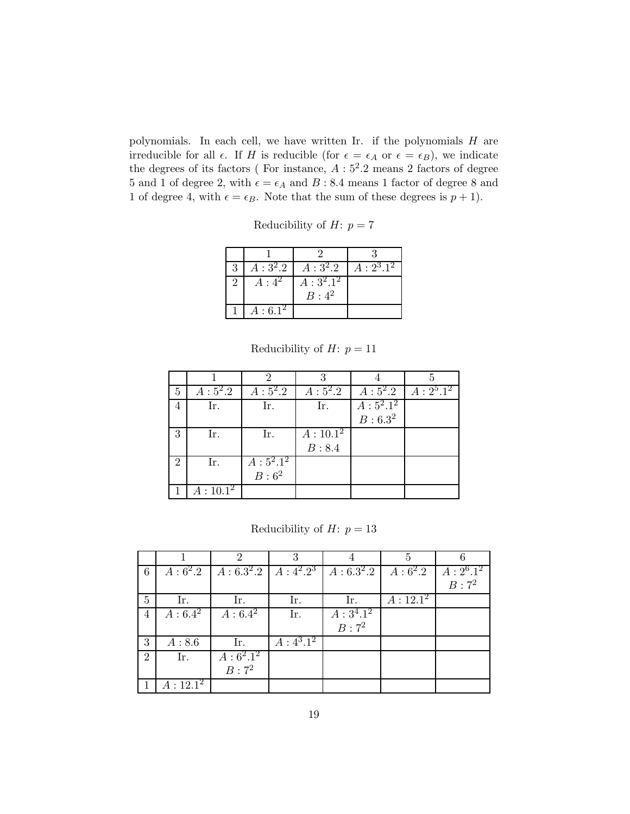polynomials. In each cell, we have written Ir. if the polynomials  $H$  are irreducible for all  $\epsilon$ . If H is reducible (for  $\epsilon = \epsilon_A$  or  $\epsilon = \epsilon_B$ ), we indicate the degrees of its factors (For instance,  $A:5^2.2$  means 2 factors of degree 5 and 1 of degree 2, with  $\epsilon = \epsilon_A$  and B : 8.4 means 1 factor of degree 8 and 1 of degree 4, with  $\epsilon = \epsilon_B$ . Note that the sum of these degrees is  $p + 1$ .

Reducibility of  $H: p = 7$ 

| 3 | $A:3^2.2$ | $A:3^2.2$              | $A: 2^3.1^2$ |
|---|-----------|------------------------|--------------|
| 2 | $A:4^2$   | $A:3^2.1^2$<br>$B:4^2$ |              |
|   | $A:6.1^2$ |                        |              |

Reducibility of  $H: p = 11$ 

| 5             | $A:5^2.2$             | $A:5^2.\overline{2}$ |            | $A: 5^2 \cdot 2 \mid A: 5^2 \cdot 2 \mid A: 2^5 \cdot 1^2$ |  |
|---------------|-----------------------|----------------------|------------|------------------------------------------------------------|--|
|               | Ir.                   | Ir.                  | Ir.        | $A:5^2.1^2$                                                |  |
|               |                       |                      |            | B: 6.3 <sup>2</sup>                                        |  |
| 3             | Ir.                   | Ir.                  | $A:10.1^2$ |                                                            |  |
|               |                       |                      | B: 8.4     |                                                            |  |
| $\mathcal{D}$ | Ir.                   | $A:5^2.1^2$          |            |                                                            |  |
|               |                       | $B:6^2$              |            |                                                            |  |
|               | $A:10.1^{\mathbf{2}}$ |                      |            |                                                            |  |

Reducibility of  $H: p = 13$ 

|                |                          |                      | 3                      |                                                                      |             |              |
|----------------|--------------------------|----------------------|------------------------|----------------------------------------------------------------------|-------------|--------------|
| 6              | $A:6^2.2$                |                      |                        | $A: 6.3^{2}.2 \mid A: 4^{2}.2^{3} \mid A: 6.3^{2}.2 \mid A: 6^{2}.2$ |             | $A: 2^6.1^2$ |
|                |                          |                      |                        |                                                                      |             | $B:7^2$      |
| 5              | Ir.                      | Ir.                  | Ir.                    | Ir.                                                                  | $A: 12.1^2$ |              |
| $\overline{4}$ | $A:\overline{6.4^2}$     | $A:\overline{6.4^2}$ | Ir.                    | $A:3^4.1^2$                                                          |             |              |
|                |                          |                      |                        | $B:7^2$                                                              |             |              |
| 3              | A:8.6                    | Ir.                  | $A:\overline{4^3.1^2}$ |                                                                      |             |              |
| $\overline{2}$ | Ir.                      | $A:6^2.1^2$          |                        |                                                                      |             |              |
|                |                          | $B:7^2$              |                        |                                                                      |             |              |
|                | $A: 12.1^{\overline{2}}$ |                      |                        |                                                                      |             |              |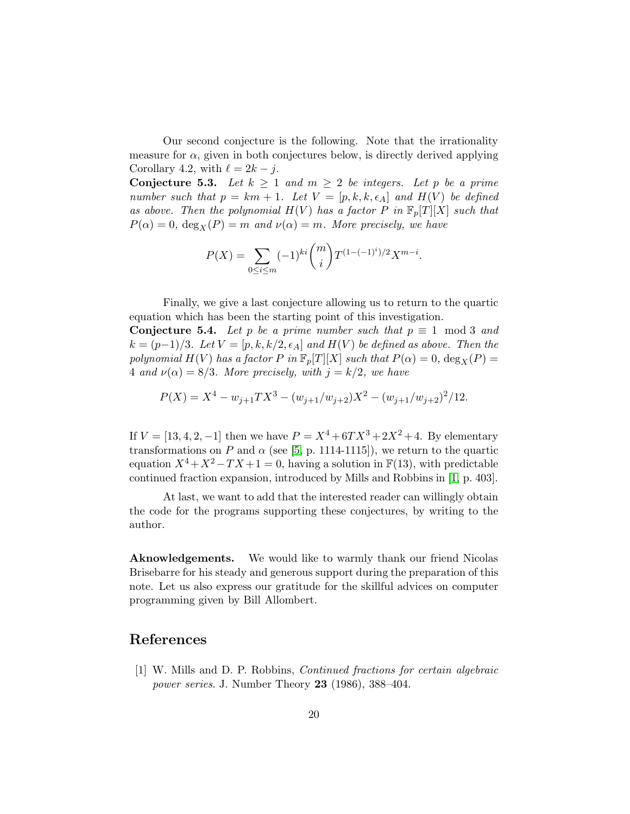Our second conjecture is the following. Note that the irrationality measure for  $\alpha$ , given in both conjectures below, is directly derived applying Corollary 4.2, with  $\ell = 2k - j$ .

**Conjecture 5.3.** Let  $k \geq 1$  and  $m \geq 2$  be integers. Let p be a prime number such that  $p = km + 1$ . Let  $V = [p, k, k, \epsilon_A]$  and  $H(V)$  be defined as above. Then the polynomial  $H(V)$  has a factor P in  $\mathbb{F}_p[T][X]$  such that  $P(\alpha) = 0$ ,  $\deg_X(P) = m$  and  $\nu(\alpha) = m$ . More precisely, we have

$$
P(X) = \sum_{0 \le i \le m} (-1)^{ki} \binom{m}{i} T^{(1 - (-1)^i)/2} X^{m-i}.
$$

Finally, we give a last conjecture allowing us to return to the quartic equation which has been the starting point of this investigation.

**Conjecture 5.4.** Let p be a prime number such that  $p \equiv 1 \mod 3$  and  $k = (p-1)/3$ . Let  $V = [p, k, k/2, \epsilon_A]$  and  $H(V)$  be defined as above. Then the polynomial  $H(V)$  has a factor P in  $\mathbb{F}_p[T][X]$  such that  $P(\alpha) = 0$ ,  $\deg_X(P) = 0$ 4 and  $\nu(\alpha) = 8/3$ . More precisely, with  $j = k/2$ , we have

$$
P(X) = X^{4} - w_{j+1}TX^{3} - (w_{j+1}/w_{j+2})X^{2} - (w_{j+1}/w_{j+2})^{2}/12.
$$

If  $V = [13, 4, 2, -1]$  then we have  $P = X^4 + 6TX^3 + 2X^2 + 4$ . By elementary transformations on P and  $\alpha$  (see [\[5,](#page-20-8) p. 1114-1115]), we return to the quartic equation  $X^4 + X^2 - TX + 1 = 0$ , having a solution in  $\mathbb{F}(13)$ , with predictable continued fraction expansion, introduced by Mills and Robbins in [\[1,](#page-19-0) p. 403].

At last, we want to add that the interested reader can willingly obtain the code for the programs supporting these conjectures, by writing to the author.

Aknowledgements. We would like to warmly thank our friend Nicolas Brisebarre for his steady and generous support during the preparation of this note. Let us also express our gratitude for the skillful advices on computer programming given by Bill Allombert.

# <span id="page-19-0"></span>References

[1] W. Mills and D. P. Robbins, Continued fractions for certain algebraic power series. J. Number Theory 23 (1986), 388–404.